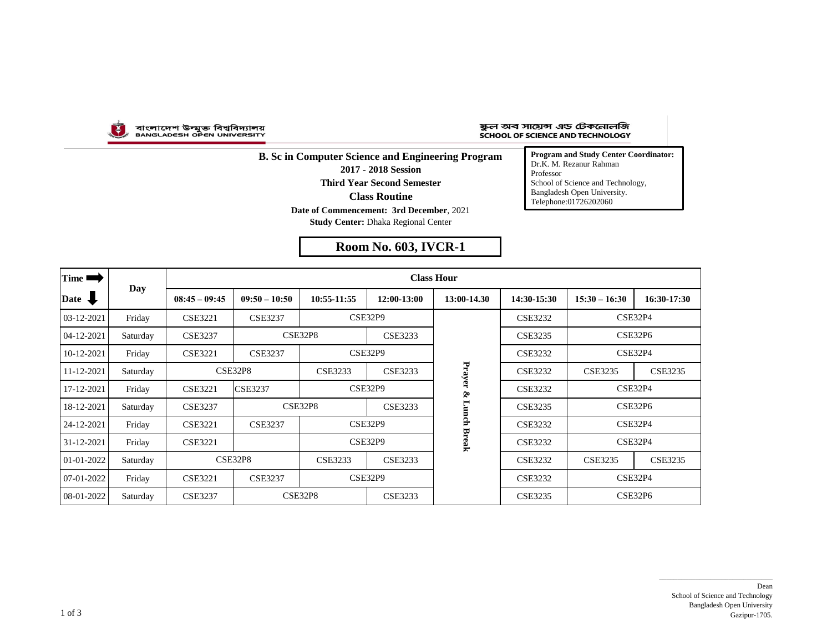

বাংলাদেশ উন্মুক্ত বিশ্ববিদ্যালয়<br>вамсьаресн орем иміvевsітт

## ষ্কুল অব সায়েন্স এড টেকনোলজি SCHOOL OF SCIENCE AND TECHNOLOGY

**B. Sc in Computer Science and Engineering Program 2017 - 2018 Session Third Year Second Semester Date of Commencement: 3rd December**, 2021 **Study Center:** Dhaka Regional Center **Class Routine**

**Room No. 603, IVCR-1**

**Program and Study Center Coordinator:** Dr.K. M. Rezanur Rahman Professor School of Science and Technology, Bangladesh Open University. Telephone:01726202060

| Time ■           | Day      | <b>Class Hour</b> |                 |                                  |             |             |                |                 |                |  |  |
|------------------|----------|-------------------|-----------------|----------------------------------|-------------|-------------|----------------|-----------------|----------------|--|--|
| Date <b>U</b>    |          | $08:45 - 09:45$   | $09:50 - 10:50$ | 10:55-11:55                      | 12:00-13:00 | 13:00-14.30 | 14:30-15:30    | $15:30 - 16:30$ | 16:30-17:30    |  |  |
| 03-12-2021       | Friday   | <b>CSE3221</b>    | <b>CSE3237</b>  |                                  | CSE32P9     |             | <b>CSE3232</b> | CSE32P4         |                |  |  |
| 04-12-2021       | Saturday | <b>CSE3237</b>    |                 | <b>CSE32P8</b><br><b>CSE3233</b> |             |             | <b>CSE3235</b> | CSE32P6         |                |  |  |
| 10-12-2021       | Friday   | <b>CSE3221</b>    | <b>CSE3237</b>  | <b>CSE32P9</b>                   |             |             | <b>CSE3232</b> | CSE32P4         |                |  |  |
| 11-12-2021       | Saturday |                   | <b>CSE32P8</b>  | <b>CSE3233</b><br><b>CSE3233</b> |             | Prayer      | <b>CSE3232</b> | <b>CSE3235</b>  | <b>CSE3235</b> |  |  |
| 17-12-2021       | Friday   | <b>CSE3221</b>    | <b>CSE3237</b>  | CSE32P9                          |             | Š,          | <b>CSE3232</b> | CSE32P4         |                |  |  |
| 18-12-2021       | Saturday | <b>CSE3237</b>    |                 | <b>CSE32P8</b><br>CSE3233        |             |             | <b>CSE3235</b> |                 | CSE32P6        |  |  |
| 24-12-2021       | Friday   | <b>CSE3221</b>    | <b>CSE3237</b>  | <b>CSE32P9</b>                   |             | Lunch Break | <b>CSE3232</b> | CSE32P4         |                |  |  |
| 31-12-2021       | Friday   | <b>CSE3221</b>    |                 | <b>CSE32P9</b>                   |             |             | <b>CSE3232</b> | CSE32P4         |                |  |  |
| $01 - 01 - 2022$ | Saturday |                   | CSE32P8         | CSE3233<br>CSE3233               |             |             | <b>CSE3232</b> | <b>CSE3235</b>  | <b>CSE3235</b> |  |  |
| 07-01-2022       | Friday   | <b>CSE3221</b>    | <b>CSE3237</b>  | CSE32P9                          |             |             | <b>CSE3232</b> |                 | CSE32P4        |  |  |
| 08-01-2022       | Saturday | <b>CSE3237</b>    |                 | CSE32P8<br><b>CSE3233</b>        |             |             | <b>CSE3235</b> |                 | CSE32P6        |  |  |

 $\overline{\phantom{a}}$  , and the set of the set of the set of the set of the set of the set of the set of the set of the set of the set of the set of the set of the set of the set of the set of the set of the set of the set of the s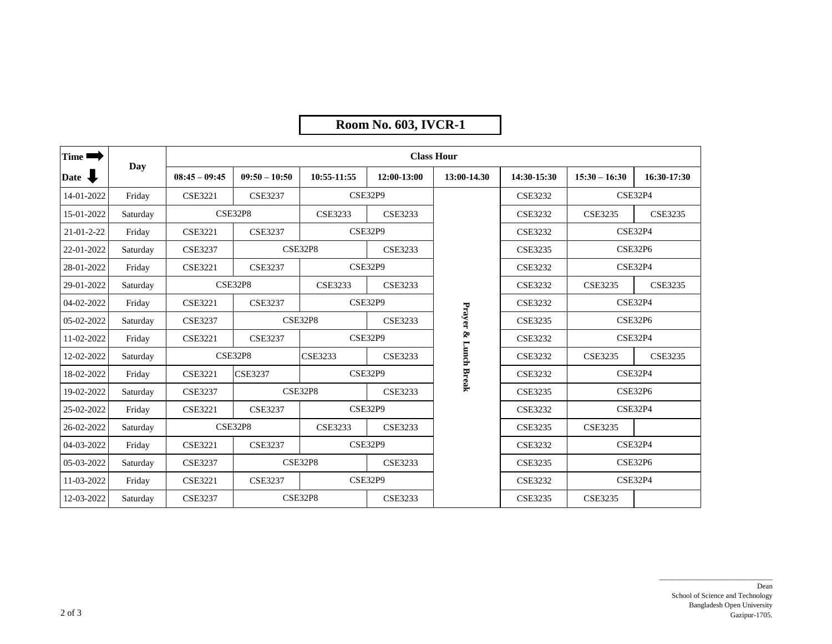## **Room No. 603, IVCR-1**

| Time $\blacksquare$ | Day      | <b>Class Hour</b> |                 |                                  |                |                    |                |                           |                |  |  |
|---------------------|----------|-------------------|-----------------|----------------------------------|----------------|--------------------|----------------|---------------------------|----------------|--|--|
| Date $\bigoplus$    |          | $08:45 - 09:45$   | $09:50 - 10:50$ | 10:55-11:55                      | 12:00-13:00    | 13:00-14.30        | 14:30-15:30    | $15:30 - 16:30$           | 16:30-17:30    |  |  |
| 14-01-2022          | Friday   | <b>CSE3221</b>    | <b>CSE3237</b>  |                                  | CSE32P9        |                    | <b>CSE3232</b> | CSE32P4                   |                |  |  |
| 15-01-2022          | Saturday |                   | CSE32P8         | <b>CSE3233</b><br><b>CSE3233</b> |                |                    | <b>CSE3232</b> | <b>CSE3235</b>            | <b>CSE3235</b> |  |  |
| $21 - 01 - 2 - 22$  | Friday   | <b>CSE3221</b>    | <b>CSE3237</b>  | CSE32P9                          |                |                    | <b>CSE3232</b> | CSE32P4                   |                |  |  |
| 22-01-2022          | Saturday | <b>CSE3237</b>    |                 | <b>CSE32P8</b><br><b>CSE3233</b> |                |                    | <b>CSE3235</b> | <b>CSE32P6</b>            |                |  |  |
| 28-01-2022          | Friday   | <b>CSE3221</b>    | <b>CSE3237</b>  |                                  | CSE32P9        |                    | <b>CSE3232</b> | CSE32P4                   |                |  |  |
| 29-01-2022          | Saturday |                   | <b>CSE32P8</b>  | <b>CSE3233</b>                   | <b>CSE3233</b> |                    | <b>CSE3232</b> | <b>CSE3235</b>            | <b>CSE3235</b> |  |  |
| 04-02-2022          | Friday   | <b>CSE3221</b>    | <b>CSE3237</b>  |                                  | <b>CSE32P9</b> |                    | <b>CSE3232</b> | CSE32P4                   |                |  |  |
| 05-02-2022          | Saturday | <b>CSE3237</b>    |                 | <b>CSE32P8</b><br><b>CSE3233</b> |                | Prayer &           | <b>CSE3235</b> | CSE32P6                   |                |  |  |
| 11-02-2022          | Friday   | <b>CSE3221</b>    | <b>CSE3237</b>  | CSE32P9                          |                |                    | <b>CSE3232</b> | CSE32P4                   |                |  |  |
| 12-02-2022          | Saturday |                   | <b>CSE32P8</b>  | <b>CSE3233</b>                   | <b>CSE3233</b> | <b>Lunch Break</b> | <b>CSE3232</b> | <b>CSE3235</b>            | <b>CSE3235</b> |  |  |
| 18-02-2022          | Friday   | <b>CSE3221</b>    | <b>CSE3237</b>  | CSE32P9                          |                |                    | <b>CSE3232</b> | CSE32P4                   |                |  |  |
| 19-02-2022          | Saturday | <b>CSE3237</b>    |                 | <b>CSE32P8</b><br><b>CSE3233</b> |                |                    | <b>CSE3235</b> | <b>CSE32P6</b>            |                |  |  |
| 25-02-2022          | Friday   | <b>CSE3221</b>    | <b>CSE3237</b>  | <b>CSE32P9</b>                   |                |                    | <b>CSE3232</b> | CSE32P4                   |                |  |  |
| 26-02-2022          | Saturday |                   | <b>CSE32P8</b>  | <b>CSE3233</b><br>CSE3233        |                |                    | <b>CSE3235</b> | <b>CSE3235</b>            |                |  |  |
| 04-03-2022          | Friday   | <b>CSE3221</b>    | <b>CSE3237</b>  | CSE32P9                          |                |                    | <b>CSE3232</b> | CSE32P4<br><b>CSE32P6</b> |                |  |  |
| 05-03-2022          | Saturday | <b>CSE3237</b>    |                 | <b>CSE32P8</b><br><b>CSE3233</b> |                |                    | <b>CSE3235</b> |                           |                |  |  |
| 11-03-2022          | Friday   | <b>CSE3221</b>    | <b>CSE3237</b>  | CSE32P9                          |                |                    | <b>CSE3232</b> | CSE32P4                   |                |  |  |
| 12-03-2022          | Saturday | <b>CSE3237</b>    |                 | <b>CSE32P8</b>                   | <b>CSE3233</b> |                    | <b>CSE3235</b> | <b>CSE3235</b>            |                |  |  |

 $\overline{\phantom{a}}$  , and the set of the set of the set of the set of the set of the set of the set of the set of the set of the set of the set of the set of the set of the set of the set of the set of the set of the set of the s